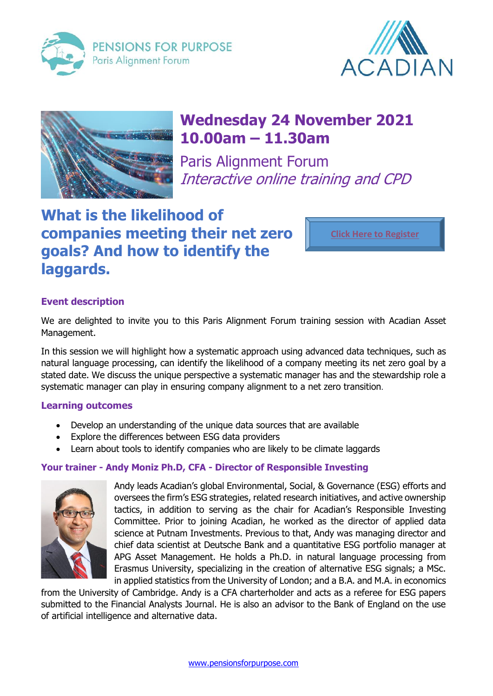





# **Wednesday 24 November 2021 10.00am – 11.30am**

Paris Alignment Forum Interactive online training and CPD

## **What is the likelihood of companies meeting their net zero goals? And how to identify the laggards.**

**[Click Here to Register](https://us02web.zoom.us/meeting/register/tZMvceqhrz4rGdcxwcEoz8S9JbvEev4Z_6Dk)**

## **Event description**

We are delighted to invite you to this Paris Alignment Forum training session with Acadian Asset Management.

In this session we will highlight how a systematic approach using advanced data techniques, such as natural language processing, can identify the likelihood of a company meeting its net zero goal by a stated date. We discuss the unique perspective a systematic manager has and the stewardship role a systematic manager can play in ensuring company alignment to a net zero transition.

## **Learning outcomes**

- Develop an understanding of the unique data sources that are available
- Explore the differences between ESG data providers
- Learn about tools to identify companies who are likely to be climate laggards

## **Your trainer - Andy Moniz Ph.D, CFA - Director of Responsible Investing**



Andy leads Acadian's global Environmental, Social, & Governance (ESG) efforts and oversees the firm's ESG strategies, related research initiatives, and active ownership tactics, in addition to serving as the chair for Acadian's Responsible Investing Committee. Prior to joining Acadian, he worked as the director of applied data science at Putnam Investments. Previous to that, Andy was managing director and chief data scientist at Deutsche Bank and a quantitative ESG portfolio manager at APG Asset Management. He holds a Ph.D. in natural language processing from Erasmus University, specializing in the creation of alternative ESG signals; a MSc. in applied statistics from the University of London; and a B.A. and M.A. in economics

from the University of Cambridge. Andy is a CFA charterholder and acts as a referee for ESG papers submitted to the Financial Analysts Journal. He is also an advisor to the Bank of England on the use of artificial intelligence and alternative data.